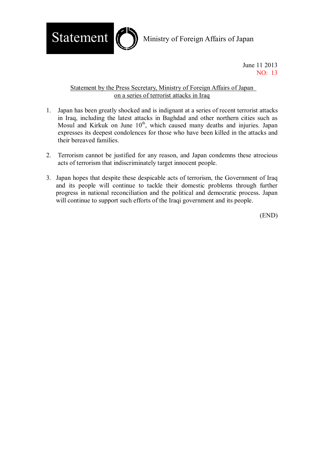

June 11 2013 NO: 13

## Statement by the Press Secretary, Ministry of Foreign Affairs of Japan on a series of terrorist attacks in Iraq

- 1. Japan has been greatly shocked and is indignant at a series of recent terrorist attacks in Iraq, including the latest attacks in Baghdad and other northern cities such as Mosul and Kirkuk on June  $10<sup>th</sup>$ , which caused many deaths and injuries. Japan expresses its deepest condolences for those who have been killed in the attacks and their bereaved families.
- 2. Terrorism cannot be justified for any reason, and Japan condemns these atrocious acts of terrorism that indiscriminately target innocent people.
- 3. Japan hopes that despite these despicable acts of terrorism, the Government of Iraq and its people will continue to tackle their domestic problems through further progress in national reconciliation and the political and democratic process. Japan will continue to support such efforts of the Iraqi government and its people.

(END)